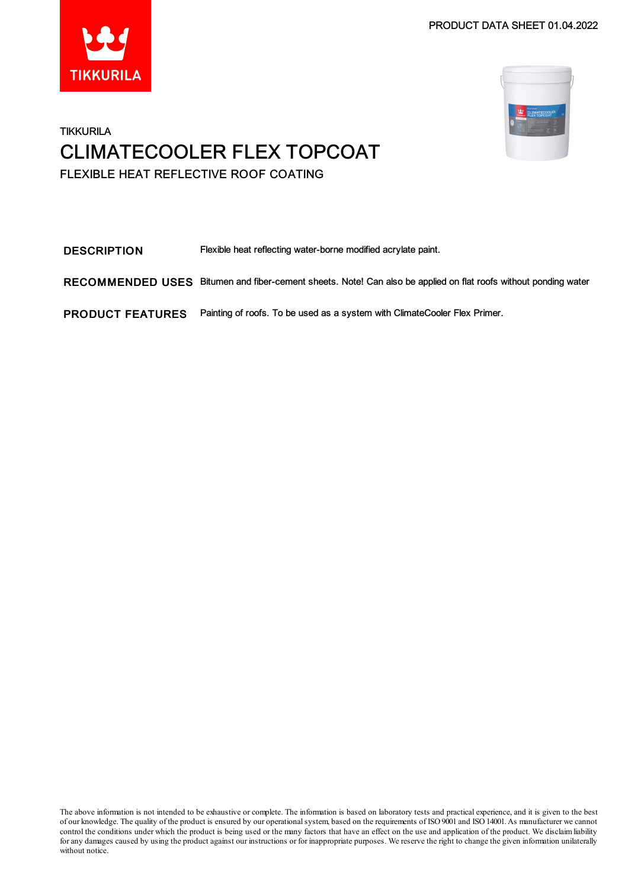PRODUCT DATA SHEET 01.04.2022





### **TIKKURILA** CLIMATECOOLER FLEX TOPCOAT FLEXIBLE HEAT REFLECTIVE ROOF COATING

DESCRIPTION Flexible heat reflecting water-borne modified acrylate paint.

RECOMMENDED USES Bitumen and fiber-cement sheets. Note! Can also be applied on flat roofs without ponding water

PRODUCT FEATURES Painting of roofs. To be used as a system with ClimateCooler Flex Primer.

The above information is not intended to be exhaustive or complete. The information is based on laboratory tests and practical experience, and it is given to the best of our knowledge. The quality of the product is ensured by our operational system, based on the requirements of ISO 9001 and ISO 14001. As manufacturer we cannot control the conditions under which the product is being used or the many factors that have an effect on the use and application of the product. We disclaimliability for any damages caused by using the product against our instructions or for inappropriate purposes. We reserve the right to change the given information unilaterally without notice.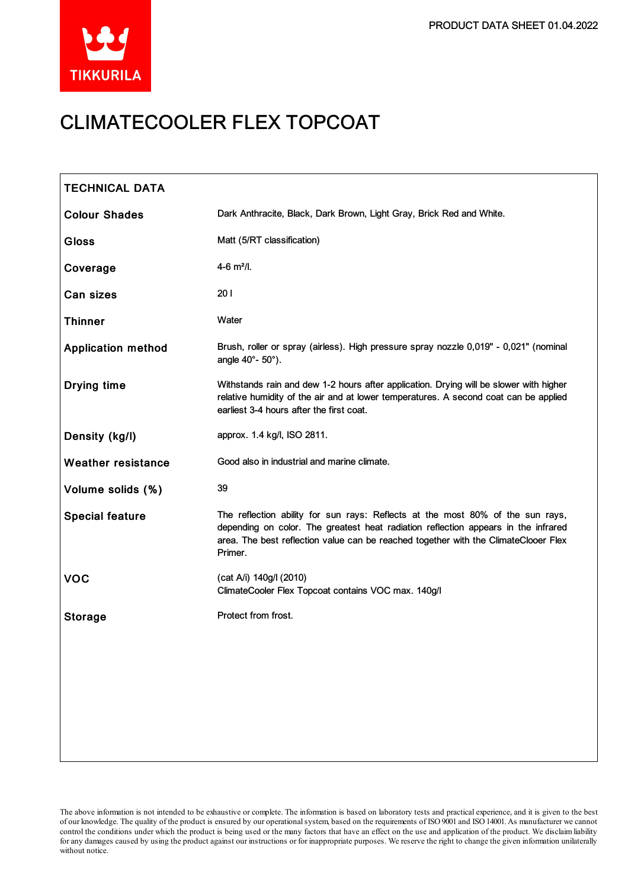

# CLIMATECOOLER FLEX TOPCOAT

| <b>TECHNICAL DATA</b>     |                                                                                                                                                                                                                                                                        |
|---------------------------|------------------------------------------------------------------------------------------------------------------------------------------------------------------------------------------------------------------------------------------------------------------------|
| <b>Colour Shades</b>      | Dark Anthracite, Black, Dark Brown, Light Gray, Brick Red and White.                                                                                                                                                                                                   |
| <b>Gloss</b>              | Matt (5/RT classification)                                                                                                                                                                                                                                             |
| Coverage                  | $4-6$ m <sup>2</sup> /l.                                                                                                                                                                                                                                               |
| Can sizes                 | 201                                                                                                                                                                                                                                                                    |
| <b>Thinner</b>            | Water                                                                                                                                                                                                                                                                  |
| <b>Application method</b> | Brush, roller or spray (airless). High pressure spray nozzle 0,019" - 0,021" (nominal<br>angle 40°- 50°).                                                                                                                                                              |
| <b>Drying time</b>        | Withstands rain and dew 1-2 hours after application. Drying will be slower with higher<br>relative humidity of the air and at lower temperatures. A second coat can be applied<br>earliest 3-4 hours after the first coat.                                             |
| Density (kg/l)            | approx. 1.4 kg/l, ISO 2811.                                                                                                                                                                                                                                            |
| <b>Weather resistance</b> | Good also in industrial and marine climate.                                                                                                                                                                                                                            |
| Volume solids (%)         | 39                                                                                                                                                                                                                                                                     |
| <b>Special feature</b>    | The reflection ability for sun rays: Reflects at the most 80% of the sun rays,<br>depending on color. The greatest heat radiation reflection appears in the infrared<br>area. The best reflection value can be reached together with the ClimateClooer Flex<br>Primer. |
| <b>VOC</b>                | (cat A/i) 140g/l (2010)<br>ClimateCooler Flex Topcoat contains VOC max. 140g/l                                                                                                                                                                                         |
| <b>Storage</b>            | Protect from frost.                                                                                                                                                                                                                                                    |
|                           |                                                                                                                                                                                                                                                                        |
|                           |                                                                                                                                                                                                                                                                        |
|                           |                                                                                                                                                                                                                                                                        |
|                           |                                                                                                                                                                                                                                                                        |
|                           |                                                                                                                                                                                                                                                                        |

The above information is not intended to be exhaustive or complete. The information is based on laboratory tests and practical experience, and it is given to the best of our knowledge. The quality of the product is ensured by our operationalsystem, based on the requirements of ISO9001 and ISO14001.As manufacturer we cannot control the conditions under which the product is being used or the many factors that have an effect on the use and application of the product. We disclaimliability forany damages caused by using the product against our instructions or for inappropriate purposes. We reserve the right to change the given information unilaterally without notice.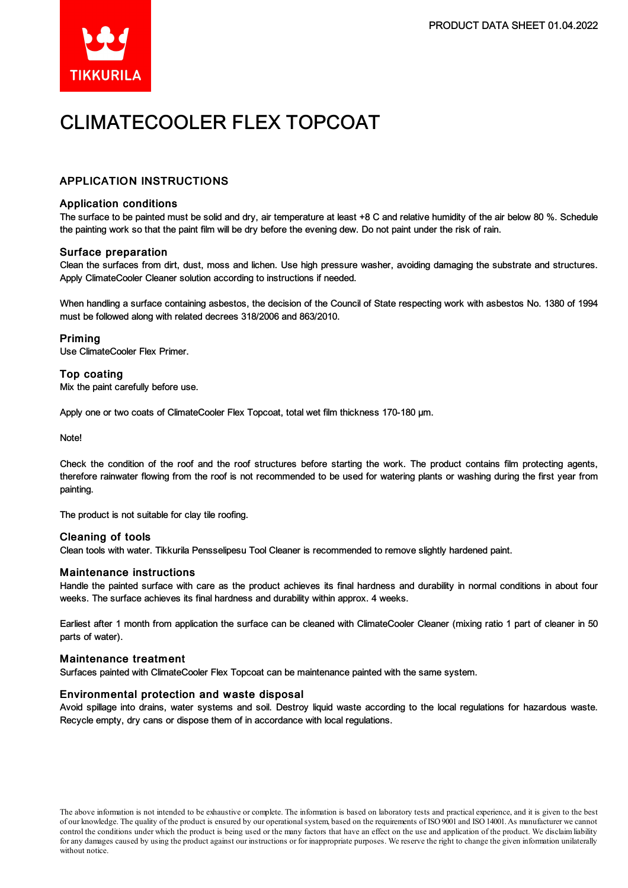

## CLIMATECOOLER FLEX TOPCOAT

### APPLICATION INSTRUCTIONS

#### Application conditions

The surface to be painted must be solid and dry, air temperature at least +8 C and relative humidity of the air below 80 %. Schedule the painting work so that the paint film will be dry before the evening dew. Do not paint under the risk of rain.

#### Surface preparation

Clean the surfaces from dirt, dust, moss and lichen. Use high pressure washer, avoiding damaging the substrate and structures. Apply ClimateCooler Cleaner solution according to instructions if needed.

When handling a surface containing asbestos, the decision of the Council of State respecting work with asbestos No. 1380 of 1994 must be followed along with related decrees 318/2006 and 863/2010.

#### Priming

Use ClimateCooler Flex Primer.

#### Top coating

Mix the paint carefully before use.

Apply one or two coats of ClimateCooler Flex Topcoat, total wet film thickness 170-180 µm.

Note!

Check the condition of the roof and the roof structures before starting the work. The product contains film protecting agents, therefore rainwater flowing from the roof is not recommended to be used for watering plants or washing during the first year from painting.

The product is not suitable for clay tile roofing.

#### Cleaning of tools

Clean tools with water. Tikkurila Pensselipesu Tool Cleaner is recommended to remove slightly hardened paint.

#### Maintenance instructions

Handle the painted surface with care as the product achieves its final hardness and durability in normal conditions in about four weeks. The surface achieves its final hardness and durability within approx. 4 weeks.

Earliest after 1 month from application the surface can be cleaned with ClimateCooler Cleaner (mixing ratio 1 part of cleaner in 50 parts of water).

#### Maintenance treatment

Surfaces painted with ClimateCooler Flex Topcoat can be maintenance painted with the same system.

#### Environmental protection and waste disposal

Avoid spillage into drains, water systems and soil. Destroy liquid waste according to the local regulations for hazardous waste. Recycle empty, dry cans or dispose them of in accordance with local regulations.

The above information is not intended to be exhaustive or complete. The information is based on laboratory tests and practical experience, and it is given to the best of our knowledge. The quality of the product is ensured by our operationalsystem, based on the requirements of ISO9001 and ISO14001.As manufacturer we cannot control the conditions under which the product is being used or the many factors that have an effect on the use and application of the product. We disclaimliability forany damages caused by using the product against our instructions or for inappropriate purposes. We reserve the right to change the given information unilaterally without notice.